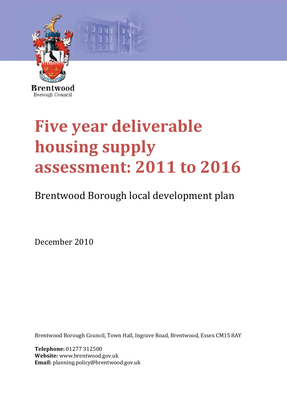

# **Five year deliverable housing supply assessment: 2011 to 2016**

# Brentwood Borough local development plan

December 2010

Brentwood Borough Council, Town Hall, Ingrave Road, Brentwood, Essex CM15 8AY

**Telephone:** 01277 312500 **Website:** www.brentwood.gov.uk **Email:** planning.policy@brentwood.gov.uk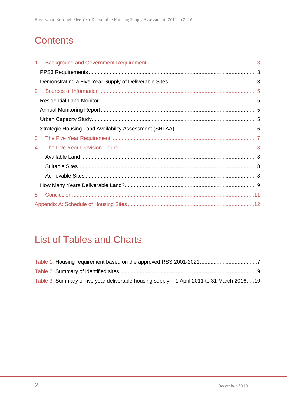# **Contents**

| 1.             |  |
|----------------|--|
|                |  |
|                |  |
| 2 <sup>1</sup> |  |
|                |  |
|                |  |
|                |  |
|                |  |
| 3              |  |
| 4              |  |
|                |  |
|                |  |
|                |  |
|                |  |
| 5              |  |
|                |  |

# **List of Tables and Charts**

| Table 3: Summary of five year deliverable housing supply – 1 April 2011 to 31 March 201610 |  |
|--------------------------------------------------------------------------------------------|--|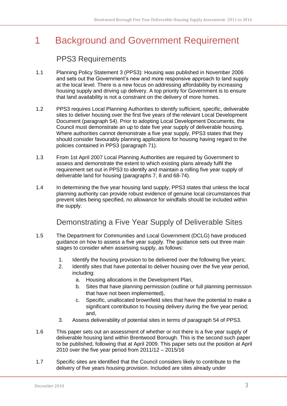# <span id="page-2-0"></span>1 Background and Government Requirement

#### PPS3 Requirements

- <span id="page-2-1"></span>1.1 Planning Policy Statement 3 (PPS3): Housing was published in November 2006 and sets out the Government's new and more responsive approach to land supply at the local level. There is a new focus on addressing affordability by increasing housing supply and driving up delivery. A top priority for Government is to ensure that land availability is not a constraint on the delivery of more homes.
- 1.2 PPS3 requires Local Planning Authorities to identify sufficient, specific, deliverable sites to deliver housing over the first five years of the relevant Local Development Document (paragraph 54). Prior to adopting Local Development Documents, the Council must demonstrate an up to date five year supply of deliverable housing. Where authorities cannot demonstrate a five year supply, PPS3 states that they should consider favourably planning applications for housing having regard to the policies contained in PPS3 (paragraph 71).
- 1.3 From 1st April 2007 Local Planning Authorities are required by Government to assess and demonstrate the extent to which existing plans already fulfil the requirement set out in PPS3 to identify and maintain a rolling five year supply of deliverable land for housing (paragraphs 7, 8 and 68-74).
- 1.4 In determining the five year housing land supply, PPS3 states that unless the local planning authority can provide robust evidence of genuine local circumstances that prevent sites being specified, no allowance for windfalls should be included within the supply.

## Demonstrating a Five Year Supply of Deliverable Sites

- <span id="page-2-2"></span>1.5 The Department for Communities and Local Government (DCLG) have produced guidance on how to assess a five year supply. The guidance sets out three main stages to consider when assessing supply, as follows:
	- 1. Identify the housing provision to be delivered over the following five years;
	- 2. Identify sites that have potential to deliver housing over the five year period, including:
		- a. Housing allocations in the Development Plan,
		- b. Sites that have planning permission (outline or full planning permission that have not been implemented),
		- c. Specific, unallocated brownfield sites that have the potential to make a significant contribution to housing delivery during the five year period; and,
	- 3. Assess deliverability of potential sites in terms of paragraph 54 of PPS3.
- 1.6 This paper sets out an assessment of whether or not there is a five year supply of deliverable housing land within Brentwood Borough. This is the second such paper to be published, following that at April 2009. This paper sets out the position at April 2010 over the five year period from 2011/12 – 2015/16
- 1.7 Specific sites are identified that the Council considers likely to contribute to the delivery of five years housing provision. Included are sites already under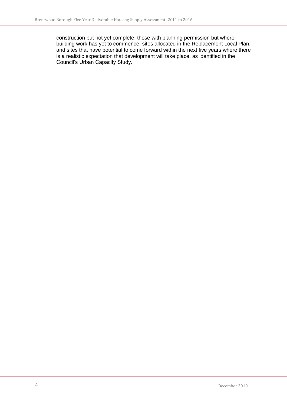construction but not yet complete, those with planning permission but where building work has yet to commence; sites allocated in the Replacement Local Plan; and sites that have potential to come forward within the next five years where there is a realistic expectation that development will take place, as identified in the Council's Urban Capacity Study.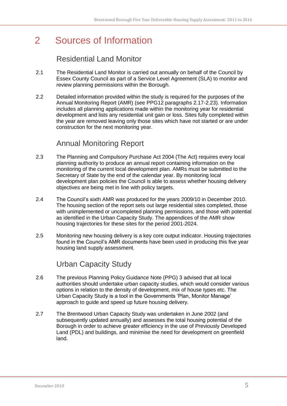## <span id="page-4-0"></span>2 Sources of Information

## Residential Land Monitor

- <span id="page-4-1"></span>2.1 The Residential Land Monitor is carried out annually on behalf of the Council by Essex County Council as part of a Service Level Agreement (SLA) to monitor and review planning permissions within the Borough.
- 2.2 Detailed information provided within the study is required for the purposes of the Annual Monitoring Report (AMR) (see PPG12 paragraphs 2.17-2.23). Information includes all planning applications made within the monitoring year for residential development and lists any residential unit gain or loss. Sites fully completed within the year are removed leaving only those sites which have not started or are under construction for the next monitoring year.

#### Annual Monitoring Report

- <span id="page-4-2"></span>2.3 The Planning and Compulsory Purchase Act 2004 (The Act) requires every local planning authority to produce an annual report containing information on the monitoring of the current local development plan. AMRs must be submitted to the Secretary of State by the end of the calendar year. By monitoring local development plan policies the Council is able to assess whether housing delivery objectives are being met in line with policy targets.
- 2.4 The Council's sixth AMR was produced for the years 2009/10 in December 2010. The housing section of the report sets out large residential sites completed, those with unimplemented or uncompleted planning permissions, and those with potential as identified in the Urban Capacity Study. The appendices of the AMR show housing trajectories for these sites for the period 2001-2024.
- 2.5 Monitoring new housing delivery is a key core output indicator. Housing trajectories found in the Council's AMR documents have been used in producing this five year housing land supply assessment.

## Urban Capacity Study

- <span id="page-4-3"></span>2.6 The previous Planning Policy Guidance Note (PPG) 3 advised that all local authorities should undertake urban capacity studies, which would consider various options in relation to the density of development, mix of house types etc. The Urban Capacity Study is a tool in the Governments 'Plan, Monitor Manage' approach to guide and speed up future housing delivery.
- 2.7 The Brentwood Urban Capacity Study was undertaken in June 2002 (and subsequently updated annually) and assesses the total housing potential of the Borough in order to achieve greater efficiency in the use of Previously Developed Land (PDL) and buildings, and minimise the need for development on greenfield land.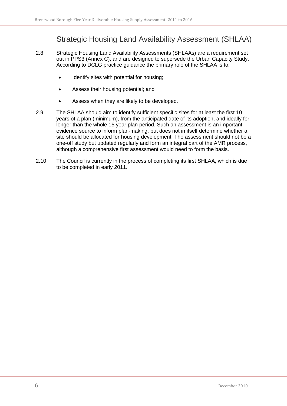## Strategic Housing Land Availability Assessment (SHLAA)

- <span id="page-5-0"></span>2.8 Strategic Housing Land Availability Assessments (SHLAAs) are a requirement set out in PPS3 (Annex C), and are designed to supersede the Urban Capacity Study. According to DCLG practice guidance the primary role of the SHLAA is to:
	- Identify sites with potential for housing;
	- Assess their housing potential; and
	- Assess when they are likely to be developed.  $\bullet$
- 2.9 The SHLAA should aim to identify sufficient specific sites for at least the first 10 years of a plan (minimum), from the anticipated date of its adoption, and ideally for longer than the whole 15 year plan period. Such an assessment is an important evidence source to inform plan-making, but does not in itself determine whether a site should be allocated for housing development. The assessment should not be a one-off study but updated regularly and form an integral part of the AMR process, although a comprehensive first assessment would need to form the basis.
- 2.10 The Council is currently in the process of completing its first SHLAA, which is due to be completed in early 2011.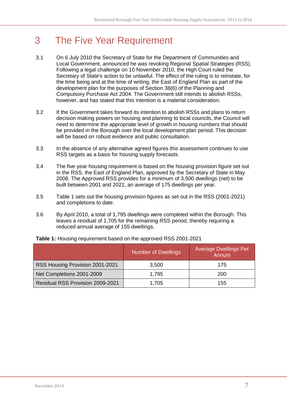## <span id="page-6-0"></span>3 The Five Year Requirement

- 3.1 On 6 July 2010 the Secretary of State for the Department of Communities and Local Government, announced he was revoking Regional Spatial Strategies (RSS). Following a legal challenge on 10 November 2010, the High Court ruled the Secretary of State's action to be unlawful. The effect of the ruling is to reinstate, for the time being and at the time of writing, the East of England Plan as part of the development plan for the purposes of Section 38(6) of the Planning and Compulsory Purchase Act 2004. The Government still intends to abolish RSSs, however, and has stated that this intention is a material consideration.
- 3.2 If the Government takes forward its intention to abolish RSSs and plans to return decision making powers on housing and planning to local councils, the Council will need to determine the appropriate level of growth in housing numbers that should be provided in the Borough over the local development plan period. This decision will be based on robust evidence and public consultation.
- 3.3 In the absence of any alternative agreed figures this assessment continues to use RSS targets as a basis for housing supply forecasts.
- 3.4 The five year housing requirement is based on the housing provision figure set out in the RSS, the East of England Plan, approved by the Secretary of State in May 2008. The Approved RSS provides for a minimum of 3,500 dwellings (net) to be built between 2001 and 2021, an average of 175 dwellings per year.
- 3.5 Table 1 sets out the housing provision figures as set out in the RSS (2001-2021) and completions to date.
- 3.6 By April 2010, a total of 1,795 dwellings were completed within the Borough. This leaves a residual of 1,705 for the remaining RSS period, thereby requiring a reduced annual average of 155 dwellings.

|                                         | <b>Number of Dwellings</b> | <b>Average Dwellings Per</b><br>Annum |
|-----------------------------------------|----------------------------|---------------------------------------|
| RSS Housing Provision 2001-2021         | 3,500                      | 175                                   |
| Net Completions 2001-2009               | 1,795                      | 200                                   |
| <b>Residual RSS Provision 2009-2021</b> | 1,705                      | 155                                   |

<span id="page-6-1"></span>**Table 1:** Housing requirement based on the approved RSS 2001-2021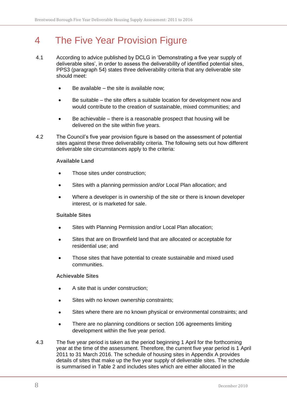## <span id="page-7-0"></span>4 The Five Year Provision Figure

- 4.1 According to advice published by DCLG in 'Demonstrating a five year supply of deliverable sites', in order to assess the deliverability of identified potential sites, PPS3 (paragraph 54) states three deliverability criteria that any deliverable site should meet:
	- Be available the site is available now;
	- Be suitable the site offers a suitable location for development now and  $\bullet$ would contribute to the creation of sustainable, mixed communities; and
	- Be achievable there is a reasonable prospect that housing will be  $\bullet$ delivered on the site within five years.
- 4.2 The Council's five year provision figure is based on the assessment of potential sites against these three deliverability criteria. The following sets out how different deliverable site circumstances apply to the criteria:

#### <span id="page-7-1"></span>**Available Land**

- Those sites under construction;
- Sites with a planning permission and/or Local Plan allocation; and
- Where a developer is in ownership of the site or there is known developer interest, or is marketed for sale.

#### <span id="page-7-2"></span>**Suitable Sites**

- Sites with Planning Permission and/or Local Plan allocation;
- Sites that are on Brownfield land that are allocated or acceptable for residential use; and
- Those sites that have potential to create sustainable and mixed used  $\bullet$ communities.

#### <span id="page-7-3"></span>**Achievable Sites**

- A site that is under construction;
- Sites with no known ownership constraints;
- Sites where there are no known physical or environmental constraints; and  $\bullet$
- There are no planning conditions or section 106 agreements limiting  $\bullet$ development within the five year period.
- 4.3 The five year period is taken as the period beginning 1 April for the forthcoming year at the time of the assessment. Therefore, the current five year period is 1 April 2011 to 31 March 2016. The schedule of housing sites in Appendix A provides details of sites that make up the five year supply of deliverable sites. The schedule is summarised in Table 2 and includes sites which are either allocated in the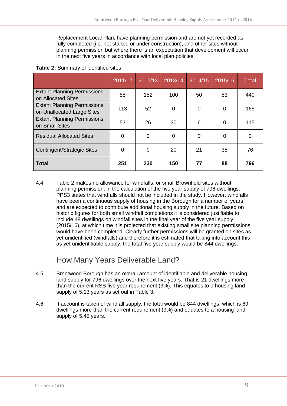Replacement Local Plan, have planning permission and are not yet recorded as fully completed (i.e. not started or under construction), and other sites without planning permission but where there is an expectation that development will occur in the next five years in accordance with local plan policies.

|                                                                  | 2011/12        | 2012/13  | 2013/14  | 2014/15 | 2015/16  | <b>Total</b> |
|------------------------------------------------------------------|----------------|----------|----------|---------|----------|--------------|
| <b>Extant Planning Permissions</b><br>on Allocated Sites         | 85             | 152      | 100      | 50      | 53       | 440          |
| <b>Extant Planning Permissions</b><br>on Unallocated Large Sites | 113            | 52       | 0        | 0       | 0        | 165          |
| <b>Extant Planning Permissions</b><br>on Small Sites             | 53             | 26       | 30       | 6       | 0        | 115          |
| <b>Residual Allocated Sites</b>                                  | $\Omega$       | $\Omega$ | $\Omega$ | 0       | $\Omega$ | $\Omega$     |
| <b>Contingent/Strategic Sites</b>                                | $\overline{0}$ | 0        | 20       | 21      | 35       | 76           |
| <b>Total</b>                                                     | 251            | 230      | 150      | 77      | 88       | 796          |

#### <span id="page-8-1"></span>**Table 2:** Summary of identified sites

4.4 Table 2 makes no allowance for windfalls, or small Brownfield sites without planning permission, in the calculation of the five year supply of 796 dwellings. PPS3 states that windfalls should not be included in the study. However, windfalls have been a continuous supply of housing in the Borough for a number of years and are expected to contribute additional housing supply in the future. Based on historic figures for both small windfall completions it is considered justifiable to include 48 dwellings on windfall sites in the final year of the five year supply (2015/16), at which time it is projected that existing small site planning permissions would have been completed. Clearly further permissions will be granted on sites as yet unidentified (windfalls) and therefore it is estimated that taking into account this as yet unidentifiable supply, the total five year supply would be 844 dwellings.

#### How Many Years Deliverable Land?

- <span id="page-8-0"></span>4.5 Brentwood Borough has an overall amount of identifiable and deliverable housing land supply for 796 dwellings over the next five years. That is 21 dwellings more than the current RSS five year requirement (3%). This equates to a housing land supply of 5.13 years as set out in Table 3.
- 4.6 If account is taken of windfall supply, the total would be 844 dwellings, which is 69 dwellings more than the current requirement (9%) and equates to a housing land supply of 5.45 years.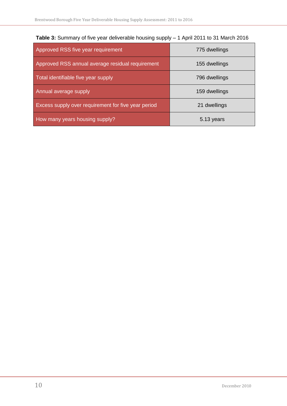| Approved RSS five year requirement                  | 775 dwellings |
|-----------------------------------------------------|---------------|
| Approved RSS annual average residual requirement    | 155 dwellings |
| Total identifiable five year supply                 | 796 dwellings |
| Annual average supply                               | 159 dwellings |
| Excess supply over requirement for five year period | 21 dwellings  |
| How many years housing supply?                      | 5.13 years    |

<span id="page-9-0"></span>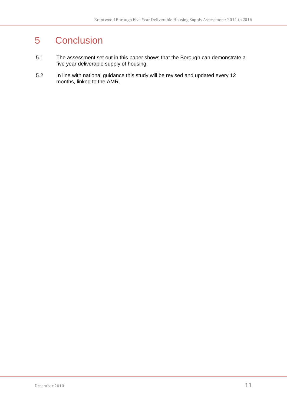## <span id="page-10-0"></span>5 Conclusion

- 5.1 The assessment set out in this paper shows that the Borough can demonstrate a five year deliverable supply of housing.
- 5.2 In line with national guidance this study will be revised and updated every 12 months, linked to the AMR.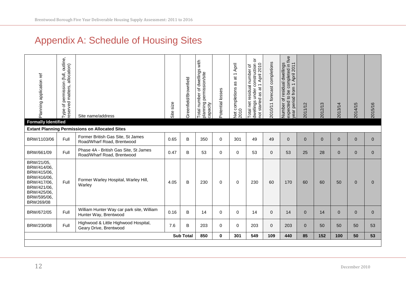# Appendix A: Schedule of Housing Sites

<span id="page-11-0"></span>

| Planning application ref                                                                                                         | outline,<br>eserved matters, allocation)<br>(full,<br>permission<br>đ<br>Type | Site name/address                                                   | size<br>Site | Greenfield/Brownfield | with<br>nber of dwellings<br>permission/site<br>Total number<br>planning<br>capacity | Potential losses | Net completions as at 1 April<br>$\circ$<br>20 <sub>1</sub> | ŏ<br>slings under construction<br>started as at 1 April 2010<br>Total net residual number of<br>dwellings under a<br>not started as at | 2010/11 forecast completions | five<br>completed in fi<br>m 1 April 2011<br>residual dwellings<br>year period from<br>Ъe<br>expected to<br>$\mathcal{P}$<br>Number | $\mathbf{\Omega}$<br>2011/1: | 2012/13      | 2013/14        | 2014/15      | 2015/16        |
|----------------------------------------------------------------------------------------------------------------------------------|-------------------------------------------------------------------------------|---------------------------------------------------------------------|--------------|-----------------------|--------------------------------------------------------------------------------------|------------------|-------------------------------------------------------------|----------------------------------------------------------------------------------------------------------------------------------------|------------------------------|-------------------------------------------------------------------------------------------------------------------------------------|------------------------------|--------------|----------------|--------------|----------------|
| <b>Formally Identified</b>                                                                                                       |                                                                               | <b>Extant Planning Permissions on Allocated Sites</b>               |              |                       |                                                                                      |                  |                                                             |                                                                                                                                        |                              |                                                                                                                                     |                              |              |                |              |                |
| BRW/1103/06                                                                                                                      | Full                                                                          | Former British Gas Site, St James<br>Road/Wharf Road, Brentwood     | 0.65         | B                     | 350                                                                                  | $\Omega$         | 301                                                         | 49                                                                                                                                     | 49                           | $\mathbf{0}$                                                                                                                        | $\Omega$                     | $\mathbf{0}$ | $\Omega$       | $\mathbf{0}$ | $\Omega$       |
| BRW/661/09                                                                                                                       | Full                                                                          | Phase 4A - British Gas Site, St James<br>Road/Wharf Road, Brentwood | 0.47         | B                     | 53                                                                                   | $\mathbf 0$      | 0                                                           | 53                                                                                                                                     | $\mathbf{0}$                 | 53                                                                                                                                  | 25                           | 28           | $\overline{0}$ | $\mathbf{0}$ | $\mathbf{0}$   |
| BRW/21/05,<br>BRW/414/06,<br>BRW/415/06.<br>BRW/416/06.<br>BRW/417/06,<br>BRW/421/06,<br>BRW/425/06,<br>BRW/595/06,<br>BRW269/08 | Full                                                                          | Former Warley Hospital, Warley Hill,<br>Warley                      | 4.05         | B                     | 230                                                                                  | $\Omega$         | $\Omega$                                                    | 230                                                                                                                                    | 60                           | 170                                                                                                                                 | 60                           | 60           | 50             | $\mathbf{0}$ | $\Omega$       |
| BRW/672/05                                                                                                                       | Full                                                                          | William Hunter Way car park site, William<br>Hunter Way, Brentwood  | 0.16         | B                     | 14                                                                                   | $\mathbf 0$      | $\mathbf 0$                                                 | 14                                                                                                                                     | $\mathbf{0}$                 | 14                                                                                                                                  | $\overline{0}$               | 14           | $\mathbf{0}$   | $\mathbf{0}$ | $\overline{0}$ |
| BRW/230/08                                                                                                                       | Full                                                                          | Highwood & Little Highwood Hospital,<br>Geary Drive, Brentwood      | 7.6          | B                     | 203                                                                                  | $\Omega$         | $\Omega$                                                    | 203                                                                                                                                    | 0                            | 203                                                                                                                                 | $\Omega$                     | 50           | 50             | 50           | 53             |
|                                                                                                                                  |                                                                               |                                                                     |              | <b>Sub Total</b>      | 850                                                                                  | $\mathbf{0}$     | 301                                                         | 549                                                                                                                                    | 109                          | 440                                                                                                                                 | 85                           | 152          | 100            | 50           | 53             |
|                                                                                                                                  |                                                                               |                                                                     |              |                       |                                                                                      |                  |                                                             |                                                                                                                                        |                              |                                                                                                                                     |                              |              |                |              |                |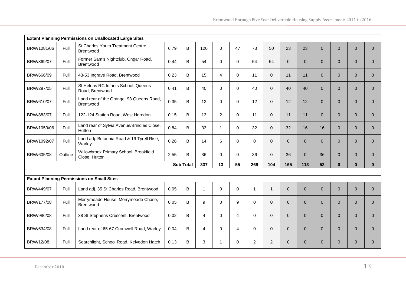| <b>Extant Planning Permissions on Unallocated Large Sites</b> |         |                                                         |      |                  |                |                |                |                |                |                |                |                |                |                |                |
|---------------------------------------------------------------|---------|---------------------------------------------------------|------|------------------|----------------|----------------|----------------|----------------|----------------|----------------|----------------|----------------|----------------|----------------|----------------|
| BRW/1081/06                                                   | Full    | St Charles Youth Treatment Centre,<br>Brentwood         | 6.79 | $\sf{B}$         | 120            | $\mathbf 0$    | 47             | 73             | 50             | 23             | 23             | $\overline{0}$ | $\overline{0}$ | $\overline{0}$ | $\Omega$       |
| BRW/369/07                                                    | Full    | Former Sam's Nightclub, Ongar Road,<br><b>Brentwood</b> | 0.44 | B                | 54             | $\mathbf 0$    | $\mathbf 0$    | 54             | 54             | $\overline{0}$ | $\overline{0}$ | $\overline{0}$ | $\overline{0}$ | $\overline{0}$ | $\overline{0}$ |
| BRW/666/09                                                    | Full    | 43-53 Ingrave Road, Brentwood                           | 0.23 | B                | 15             | $\overline{4}$ | $\mathbf 0$    | 11             | $\Omega$       | 11             | 11             | $\overline{0}$ | $\Omega$       | $\Omega$       | $\overline{0}$ |
| BRW/297/05                                                    | Full    | St Helens RC Infants School, Queens<br>Road, Brentwood  | 0.41 | B                | 40             | $\mathbf 0$    | $\mathbf 0$    | 40             | $\Omega$       | 40             | 40             | $\mathbf{0}$   | $\overline{0}$ | $\overline{0}$ | $\mathbf{0}$   |
| BRW/610/07                                                    | Full    | Land rear of the Grange, 93 Queens Road,<br>Brentwood   | 0.35 | B                | 12             | $\mathbf 0$    | $\mathbf 0$    | 12             | $\Omega$       | 12             | 12             | $\overline{0}$ | $\overline{0}$ | $\overline{0}$ | $\mathbf{0}$   |
| BRW/883/07                                                    | Full    | 122-124 Station Road, West Horndon                      | 0.15 | B                | 13             | $\overline{2}$ | $\mathbf 0$    | 11             | $\Omega$       | 11             | 11             | $\overline{0}$ | $\overline{0}$ | $\overline{0}$ | $\overline{0}$ |
| BRW/1053/06                                                   | Full    | Land rear of Sylvia Avenue/Brindles Close,<br>Hutton    | 0.84 | B                | 33             | $\mathbf{1}$   | $\mathbf 0$    | 32             | $\mathbf{0}$   | 32             | 16             | 16             | $\overline{0}$ | $\overline{0}$ | $\mathbf{0}$   |
| BRW/1092/07                                                   | Full    | Land adj. Britannia Road & 19 Tyrell Rise,<br>Warley    | 0.26 | B                | 14             | 6              | 8              | $\Omega$       | $\Omega$       | $\Omega$       | $\Omega$       | $\Omega$       | $\Omega$       | $\Omega$       | $\Omega$       |
| BRW/605/08                                                    | Outline | Willowbrook Primary School, Brookfield<br>Close, Hutton | 2.55 | B                | 36             | $\Omega$       | $\Omega$       | 36             | $\Omega$       | 36             | $\Omega$       | 36             | $\Omega$       | $\Omega$       | $\mathbf{0}$   |
|                                                               |         |                                                         |      | <b>Sub Total</b> | 337            | 13             | 55             | 269            | 104            | 165            | 113            | 52             | $\mathbf{0}$   | $\bf{0}$       | $\mathbf{0}$   |
|                                                               |         |                                                         |      |                  |                |                |                |                |                |                |                |                |                |                |                |
|                                                               |         | <b>Extant Planning Permissions on Small Sites</b>       |      |                  |                |                |                |                |                |                |                |                |                |                |                |
| BRW/449/07                                                    | Full    | Land adj. 35 St Charles Road, Brentwood                 | 0.05 | B                | $\mathbf{1}$   | $\mathbf 0$    | $\mathbf 0$    | $\mathbf{1}$   | $\overline{1}$ | $\mathbf{0}$   | $\Omega$       | $\mathbf{0}$   | $\overline{0}$ | $\overline{0}$ | $\mathbf{0}$   |
| BRW/177/08                                                    | Full    | Merrymeade House, Merrymeade Chase,<br><b>Brentwood</b> | 0.05 | B                | 9              | $\mathbf 0$    | 9              | $\mathbf 0$    | $\Omega$       | $\overline{0}$ | $\Omega$       | $\mathbf{0}$   | $\Omega$       | $\Omega$       | $\Omega$       |
| BRW/986/08                                                    | Full    | 38 St Stephens Crescent, Brentwood                      | 0.02 | B                | 4              | $\Omega$       | $\overline{4}$ | $\Omega$       | $\Omega$       | $\Omega$       | $\Omega$       | $\Omega$       | $\Omega$       | $\Omega$       | $\Omega$       |
| BRW/634/08                                                    | Full    | Land rear of 65-67 Cromwell Road, Warley                | 0.04 | B                | $\overline{4}$ | $\mathbf 0$    | $\overline{4}$ | $\pmb{0}$      | $\mathbf{0}$   | $\mathbf{0}$   | $\overline{0}$ | $\overline{0}$ | $\overline{0}$ | $\overline{0}$ | $\mathbf{0}$   |
| BRW/12/08                                                     | Full    | Searchlight, School Road, Kelvedon Hatch                | 0.13 | B                | 3              | 1              | $\mathbf 0$    | $\overline{2}$ | 2              | $\mathbf{0}$   | $\Omega$       | $\overline{0}$ | $\overline{0}$ | $\overline{0}$ | $\mathbf{0}$   |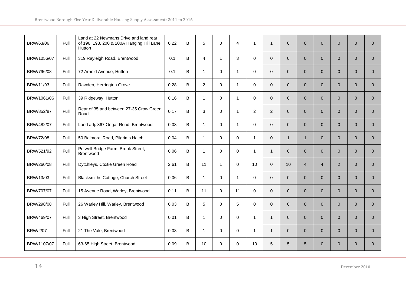| BRW/63/06       | Full | Land at 22 Newmans Drive and land rear<br>of 196, 198, 200 & 200A Hanging Hill Lane,<br>Hutton | 0.22 | B       | 5              | $\mathbf 0$  | $\overline{4}$ | $\overline{1}$ | $\mathbf{1}$   | $\mathbf{0}$   | $\mathbf{0}$   | $\mathbf{0}$   | $\overline{0}$ | $\mathbf{0}$   | $\Omega$       |
|-----------------|------|------------------------------------------------------------------------------------------------|------|---------|----------------|--------------|----------------|----------------|----------------|----------------|----------------|----------------|----------------|----------------|----------------|
| BRW/1056/07     | Full | 319 Rayleigh Road, Brentwood                                                                   | 0.1  | B       | $\overline{4}$ | $\mathbf{1}$ | 3              | $\mathbf 0$    | $\mathbf{0}$   | $\mathbf{0}$   | $\overline{0}$ | $\overline{0}$ | $\overline{0}$ | $\overline{0}$ | $\mathbf{0}$   |
| BRW/796/08      | Full | 72 Arnold Avenue, Hutton                                                                       | 0.1  | B       | $\mathbf{1}$   | $\Omega$     | $\overline{1}$ | $\mathbf 0$    | $\Omega$       | $\Omega$       | $\Omega$       | $\Omega$       | $\Omega$       | $\Omega$       | $\Omega$       |
| BRW/11/93       | Full | Rawden, Herrington Grove                                                                       | 0.28 | B       | 2              | $\mathbf 0$  | $\mathbf{1}$   | $\mathbf 0$    | $\mathbf{0}$   | $\overline{0}$ | $\overline{0}$ | $\overline{0}$ | $\overline{0}$ | $\overline{0}$ | $\overline{0}$ |
| BRW/1061/06     | Full | 39 Ridgeway, Hutton                                                                            | 0.16 | $\sf B$ | $\mathbf 1$    | $\mathbf 0$  | $\mathbf{1}$   | $\mathbf 0$    | $\mathbf{0}$   | $\overline{0}$ | $\Omega$       | $\overline{0}$ | $\overline{0}$ | $\Omega$       | $\overline{0}$ |
| BRW/852/87      | Full | Rear of 35 and between 27-35 Crow Green<br>Road                                                | 0.17 | B       | 3              | $\Omega$     | $\overline{1}$ | $\overline{2}$ | $\overline{2}$ | $\Omega$       | $\Omega$       | $\overline{0}$ | $\Omega$       | $\Omega$       | $\Omega$       |
| BRW/482/07      | Full | Land adj. 367 Ongar Road, Brentwood                                                            | 0.03 | B       | $\mathbf{1}$   | $\mathbf 0$  | $\mathbf{1}$   | $\mathbf 0$    | $\mathbf{0}$   | $\overline{0}$ | $\overline{0}$ | $\overline{0}$ | $\overline{0}$ | $\overline{0}$ | $\mathbf{0}$   |
| BRW/72/08       | Full | 50 Balmoral Road, Pilgrims Hatch                                                               | 0.04 | B       | $\mathbf{1}$   | 0            | $\mathbf 0$    | $\overline{1}$ | $\mathbf{0}$   | $\mathbf{1}$   | 1              | $\overline{0}$ | $\mathbf{0}$   | $\overline{0}$ | $\overline{0}$ |
| BRW/521/92      | Full | Putwell Bridge Farm, Brook Street,<br>Brentwood                                                | 0.06 | B       | $\mathbf{1}$   | $\mathbf 0$  | $\mathbf 0$    | $\overline{1}$ | $\mathbf{1}$   | $\overline{0}$ | $\Omega$       | $\overline{0}$ | $\mathbf{0}$   | $\Omega$       | $\Omega$       |
| BRW/260/08      | Full | Dytchleys, Coxtie Green Road                                                                   | 2.61 | $\sf B$ | 11             | $\mathbf{1}$ | $\Omega$       | 10             | $\Omega$       | 10             | $\overline{4}$ | $\overline{4}$ | 2 <sup>1</sup> | $\Omega$       | $\overline{0}$ |
| BRW/13/03       | Full | Blacksmiths Cottage, Church Street                                                             | 0.06 | B       | $\mathbf{1}$   | $\mathbf 0$  | $\mathbf{1}$   | $\mathbf 0$    | $\mathbf{0}$   | $\overline{0}$ | $\overline{0}$ | $\overline{0}$ | $\overline{0}$ | $\overline{0}$ | $\overline{0}$ |
| BRW/707/07      | Full | 15 Avenue Road, Warley, Brentwood                                                              | 0.11 | B       | 11             | $\Omega$     | 11             | $\mathbf 0$    | $\Omega$       | $\mathbf{0}$   | $\Omega$       | $\overline{0}$ | $\Omega$       | $\Omega$       | $\Omega$       |
| BRW/298/08      | Full | 26 Warley Hill, Warley, Brentwood                                                              | 0.03 | B       | 5              | $\Omega$     | 5              | $\Omega$       | $\Omega$       | $\Omega$       | $\Omega$       | $\Omega$       | $\overline{0}$ | $\Omega$       | $\Omega$       |
| BRW/469/07      | Full | 3 High Street, Brentwood                                                                       | 0.01 | B       | $\mathbf{1}$   | $\mathbf 0$  | $\mathbf 0$    | $\mathbf{1}$   | $\mathbf{1}$   | $\overline{0}$ | $\Omega$       | $\overline{0}$ | $\overline{0}$ | $\overline{0}$ | $\mathbf{0}$   |
| <b>BRW/2/07</b> | Full | 21 The Vale, Brentwood                                                                         | 0.03 | B       | $\mathbf{1}$   | $\mathbf 0$  | $\mathbf 0$    | $\overline{1}$ | $\overline{1}$ | $\overline{0}$ | $\overline{0}$ | $\overline{0}$ | $\overline{0}$ | $\overline{0}$ | $\mathbf{0}$   |
| BRW/1107/07     | Full | 63-65 High Street, Brentwood                                                                   | 0.09 | B       | 10             | $\Omega$     | $\Omega$       | 10             | 5              | 5              | 5              | $\Omega$       | $\Omega$       | $\Omega$       | $\Omega$       |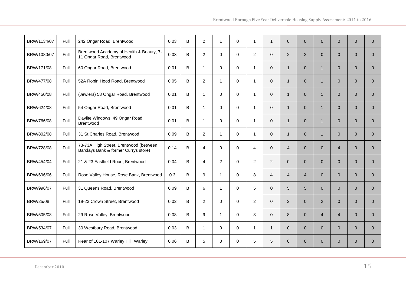| BRW/1134/07 | Full | 242 Ongar Road, Brentwood                                                      | 0.03 | B | $\overline{2}$ | $\mathbf 1$    | $\Omega$    | 1              | $\overline{1}$ | $\Omega$       | $\Omega$       | $\Omega$       | $\Omega$       | $\Omega$     | $\overline{0}$ |
|-------------|------|--------------------------------------------------------------------------------|------|---|----------------|----------------|-------------|----------------|----------------|----------------|----------------|----------------|----------------|--------------|----------------|
| BRW/1080/07 | Full | Brentwood Academy of Health & Beauty, 7-<br>11 Ongar Road, Brentwood           | 0.03 | B | $\overline{2}$ | $\mathbf 0$    | $\Omega$    | $\overline{2}$ | $\Omega$       | $\overline{2}$ | $\overline{2}$ | $\mathbf{0}$   | $\Omega$       | $\Omega$     | $\overline{0}$ |
| BRW/171/08  | Full | 60 Ongar Road, Brentwood                                                       | 0.01 | B | $\mathbf{1}$   | $\mathbf 0$    | $\Omega$    | $\overline{1}$ | $\mathbf{0}$   | $\mathbf{1}$   | $\overline{0}$ | $\mathbf{1}$   | $\overline{0}$ | $\mathbf{0}$ | $\overline{0}$ |
| BRW/477/08  | Full | 52A Robin Hood Road, Brentwood                                                 | 0.05 | B | 2              | $\overline{1}$ | $\Omega$    | $\overline{1}$ | $\Omega$       | $\mathbf{1}$   | $\Omega$       | $\mathbf{1}$   | $\Omega$       | $\Omega$     | $\Omega$       |
| BRW/450/08  | Full | (Jewlers) 58 Ongar Road, Brentwood                                             | 0.01 | B | 1              | $\Omega$       | $\Omega$    | $\overline{1}$ | $\Omega$       | $\mathbf{1}$   | $\Omega$       | $\mathbf{1}$   | $\Omega$       | $\Omega$     | $\Omega$       |
| BRW/624/08  | Full | 54 Ongar Road, Brentwood                                                       | 0.01 | B | $\mathbf{1}$   | $\mathbf 0$    | $\mathbf 0$ | $\overline{1}$ | $\mathbf{0}$   | $\mathbf{1}$   | $\overline{0}$ | $\mathbf{1}$   | $\overline{0}$ | $\mathbf{0}$ | 0              |
| BRW/766/08  | Full | Daylite Windows, 49 Ongar Road,<br>Brentwood                                   | 0.01 | B | $\mathbf{1}$   | 0              | $\mathbf 0$ | $\overline{1}$ | $\mathbf{0}$   | $\mathbf{1}$   | $\overline{0}$ | $\overline{1}$ | $\overline{0}$ | $\mathbf{0}$ | $\overline{0}$ |
| BRW/802/08  | Full | 31 St Charles Road, Brentwood                                                  | 0.09 | B | $\overline{2}$ | $\mathbf{1}$   | $\Omega$    | $\overline{1}$ | $\Omega$       | $\mathbf{1}$   | $\Omega$       | $\mathbf{1}$   | $\Omega$       | $\Omega$     | $\Omega$       |
| BRW/728/08  | Full | 73-73A High Street, Brentwood (between<br>Barclays Bank & former Currys store) | 0.14 | B | $\overline{4}$ | $\mathbf 0$    | $\mathbf 0$ | $\overline{4}$ | $\mathbf{0}$   | $\overline{4}$ | $\Omega$       | $\overline{0}$ | $\overline{4}$ | $\mathbf{0}$ | 0              |
| BRW/454/04  | Full | 21 & 23 Eastfield Road, Brentwood                                              | 0.04 | B | $\overline{4}$ | $\overline{c}$ | $\mathbf 0$ | $\overline{2}$ | $\overline{2}$ | $\overline{0}$ | $\Omega$       | $\overline{0}$ | $\Omega$       | $\Omega$     | $\overline{0}$ |
| BRW/696/06  | Full | Rose Valley House, Rose Bank, Brentwood                                        | 0.3  | B | 9              | $\overline{1}$ | $\Omega$    | 8              | $\overline{4}$ | $\overline{4}$ | $\overline{4}$ | $\Omega$       | $\Omega$       | $\Omega$     | $\Omega$       |
| BRW/996/07  | Full | 31 Queens Road, Brentwood                                                      | 0.09 | B | 6              | $\mathbf{1}$   | $\Omega$    | 5              | $\Omega$       | 5              | 5              | $\Omega$       | $\Omega$       | $\Omega$     | $\mathbf{0}$   |
| BRW/25/08   | Full | 19-23 Crown Street, Brentwood                                                  | 0.02 | B | 2              | $\Omega$       | $\Omega$    | $\overline{2}$ | $\Omega$       | $\overline{2}$ | $\Omega$       | $\overline{2}$ | $\Omega$       | $\Omega$     | $\Omega$       |
| BRW/505/08  | Full | 29 Rose Valley, Brentwood                                                      | 0.08 | B | 9              | $\mathbf{1}$   | $\Omega$    | 8              | $\Omega$       | 8              | $\overline{0}$ | $\overline{4}$ | $\overline{4}$ | $\mathbf{0}$ | $\overline{0}$ |
| BRW/534/07  | Full | 30 Westbury Road, Brentwood                                                    | 0.03 | B | $\mathbf{1}$   | 0              | $\mathbf 0$ | $\mathbf{1}$   | $\mathbf{1}$   | $\mathbf 0$    | $\overline{0}$ | $\overline{0}$ | $\overline{0}$ | $\mathbf{0}$ | 0              |
| BRW/169/07  | Full | Rear of 101-107 Warley Hill, Warley                                            | 0.06 | B | 5              | $\Omega$       | $\Omega$    | 5              | 5              | $\mathbf{0}$   | $\Omega$       | $\overline{0}$ | $\Omega$       | $\Omega$     | $\Omega$       |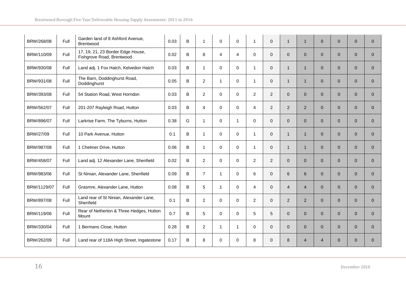| BRW/268/08  | Full        | Garden land of 8 Ashford Avenue,<br>Brentwood                  | 0.03 | $\sf B$  | $\mathbf{1}$   | 0              | $\mathbf 0$    | $\mathbf{1}$   | $\mathbf{0}$ | $\mathbf{1}$   | 1              | $\overline{0}$ | $\overline{0}$ | $\overline{0}$ | $\mathbf{0}$   |
|-------------|-------------|----------------------------------------------------------------|------|----------|----------------|----------------|----------------|----------------|--------------|----------------|----------------|----------------|----------------|----------------|----------------|
| BRW/110/09  | Full        | 17, 19, 21, 23 Border Edge House,<br>Fishgrove Road, Brentwood | 0.02 | $\sf B$  | 8              | $\overline{4}$ | $\overline{4}$ | $\mathbf 0$    | $\mathbf{0}$ | $\mathbf{0}$   | $\Omega$       | $\overline{0}$ | $\overline{0}$ | $\Omega$       | $\Omega$       |
| BRW/930/08  | <b>Full</b> | Land adj. 1 Fox Hatch, Kelvedon Hatch                          | 0.03 | В        | $\mathbf{1}$   | $\mathbf 0$    | $\Omega$       | $\overline{1}$ | $\Omega$     | $\mathbf{1}$   | 1              | $\Omega$       | $\Omega$       | $\Omega$       | $\mathbf{0}$   |
| BRW/931/08  | Full        | The Barn, Doddinghurst Road,<br>Doddinghurst                   | 0.05 | B        | $\overline{2}$ | -1             | $\mathbf 0$    | $\mathbf 1$    | $\mathbf{0}$ | $\mathbf{1}$   | 1              | $\overline{0}$ | $\Omega$       | $\Omega$       | $\mathbf{0}$   |
| BRW/393/08  | Full        | 54 Station Road, West Horndon                                  | 0.03 | B        | 2              | $\Omega$       | $\Omega$       | 2              | 2            | $\Omega$       | $\Omega$       | $\overline{0}$ | $\Omega$       | $\Omega$       | $\Omega$       |
| BRW/562/07  | Full        | 201-207 Rayleigh Road, Hutton                                  | 0.03 | $\sf{B}$ | $\overline{4}$ | $\mathbf 0$    | $\Omega$       | $\overline{4}$ | 2            | 2              | $\overline{2}$ | $\overline{0}$ | $\overline{0}$ | $\overline{0}$ | $\mathbf{0}$   |
| BRW/896/07  | Full        | Larkrise Farm, The Tyburns, Hutton                             | 0.38 | G        | $\mathbf{1}$   | $\mathbf 0$    | $\mathbf 1$    | $\mathbf 0$    | $\mathbf{0}$ | $\overline{0}$ | $\Omega$       | $\overline{0}$ | $\overline{0}$ | $\overline{0}$ | $\mathbf{0}$   |
| BRW/27/09   | Full        | 10 Park Avenue, Hutton                                         | 0.1  | B        | $\mathbf{1}$   | $\mathbf 0$    | $\Omega$       | $\overline{1}$ | $\mathbf{0}$ | $\mathbf 1$    | 1              | $\overline{0}$ | $\overline{0}$ | $\Omega$       | $\Omega$       |
| BRW/987/08  | Full        | 1 Chelmer Drive, Hutton                                        | 0.06 | B        | $\mathbf{1}$   | $\mathbf 0$    | $\mathbf 0$    | $\overline{1}$ | $\mathbf{0}$ | $\mathbf{1}$   | 1              | $\overline{0}$ | $\overline{0}$ | $\overline{0}$ | $\mathbf{0}$   |
| BRW/458/07  | Full        | Land adj. 12 Alexander Lane, Shenfield                         | 0.02 | B        | 2              | $\mathbf 0$    | $\mathbf 0$    | $\overline{2}$ | 2            | $\mathbf{0}$   | $\overline{0}$ | $\overline{0}$ | $\overline{0}$ | $\overline{0}$ | $\mathbf{0}$   |
| BRW/983/06  | Full        | St Ninian, Alexander Lane, Shenfield                           | 0.09 | B        | $\overline{7}$ | $\mathbf{1}$   | $\Omega$       | 6              | $\mathbf{0}$ | 6              | 6              | $\overline{0}$ | $\overline{0}$ | $\Omega$       | $\overline{0}$ |
| BRW/1129/07 | <b>Full</b> | Grasmre, Alexander Lane, Hutton                                | 0.08 | B        | 5              | $\mathbf{1}$   | $\Omega$       | 4              | $\Omega$     | $\overline{4}$ | $\overline{4}$ | $\overline{0}$ | $\Omega$       | $\Omega$       | $\mathbf{0}$   |
| BRW/897/08  | Full        | Land rear of St Ninian, Alexander Lane,<br>Shenfield           | 0.1  | B        | 2              | $\mathbf 0$    | $\mathbf 0$    | 2              | $\Omega$     | $\overline{2}$ | $\overline{2}$ | $\overline{0}$ | $\Omega$       | $\Omega$       | $\Omega$       |
| BRW/119/06  | Full        | Rear of Netherton & Three Hedges, Hutton<br>Mount              | 0.7  | B        | 5              | $\Omega$       | $\Omega$       | 5              | 5            | $\Omega$       | $\Omega$       | $\Omega$       | $\overline{0}$ | $\Omega$       | $\Omega$       |
| BRW/330/04  | Full        | 1 Bermans Close, Hutton                                        | 0.28 | B        | $\overline{2}$ | $\mathbf{1}$   | $\mathbf{1}$   | $\mathbf 0$    | $\mathbf{0}$ | $\overline{0}$ | $\Omega$       | $\overline{0}$ | $\overline{0}$ | $\overline{0}$ | $\mathbf{0}$   |
| BRW/262/09  | Full        | Land rear of 118A High Street, Ingatestone                     | 0.17 | B        | 8              | $\mathbf 0$    | $\Omega$       | 8              | $\Omega$     | 8              | $\overline{4}$ | $\overline{4}$ | $\Omega$       | $\Omega$       | $\Omega$       |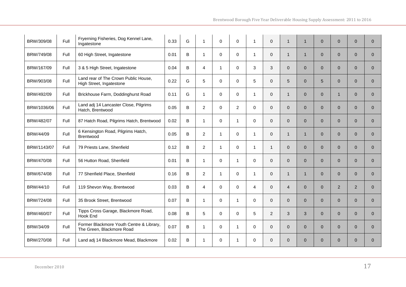| BRW/309/08  | Full | Fryerning Fisheries, Dog Kennel Lane,<br>Ingatestone                  | 0.33 | G | $\mathbf 1$    | 0            | $\mathbf 0$    | $\mathbf{1}$   | $\Omega$     | $\mathbf{1}$   | 1              | $\mathbf{0}$   | $\overline{0}$ | $\overline{0}$ | $\mathbf{0}$ |
|-------------|------|-----------------------------------------------------------------------|------|---|----------------|--------------|----------------|----------------|--------------|----------------|----------------|----------------|----------------|----------------|--------------|
| BRW/749/08  | Full | 60 High Street, Ingatestone                                           | 0.01 | B | $\mathbf{1}$   | $\mathbf 0$  | $\mathbf 0$    | $\overline{1}$ | $\mathbf{0}$ | $\mathbf{1}$   | $\overline{1}$ | $\mathbf{0}$   | $\overline{0}$ | $\overline{0}$ | $\mathbf{0}$ |
| BRW/167/09  | Full | 3 & 5 High Street, Ingatestone                                        | 0.04 | B | $\overline{4}$ | $\mathbf{1}$ | 0              | 3              | 3            | $\overline{0}$ | $\overline{0}$ | $\overline{0}$ | $\overline{0}$ | $\overline{0}$ | $\mathbf{0}$ |
| BRW/903/08  | Full | Land rear of The Crown Public House,<br>High Street, Ingatestone      | 0.22 | G | 5              | $\mathbf 0$  | $\mathbf 0$    | 5              | $\Omega$     | 5              | $\Omega$       | $\sqrt{5}$     | $\Omega$       | $\Omega$       | $\Omega$     |
| BRW/492/09  | Full | Brickhouse Farm, Doddinghurst Road                                    | 0.11 | G | $\overline{1}$ | $\mathbf 0$  | $\mathbf 0$    | $\overline{1}$ | $\Omega$     | $\mathbf 1$    | $\Omega$       | $\mathbf{0}$   | $\mathbf{1}$   | $\Omega$       | $\Omega$     |
| BRW/1036/06 | Full | Land adj 14 Lancaster Close, Pilgrims<br>Hatch, Brentwood             | 0.05 | B | 2              | $\mathbf 0$  | $\overline{c}$ | $\mathbf 0$    | $\Omega$     | $\overline{0}$ | $\Omega$       | $\overline{0}$ | $\Omega$       | $\overline{0}$ | $\mathbf{0}$ |
| BRW/482/07  | Full | 87 Hatch Road, Pilgrims Hatch, Brentwood                              | 0.02 | B | $\mathbf 1$    | $\mathbf 0$  | $\mathbf{1}$   | $\mathbf 0$    | $\Omega$     | $\mathbf{0}$   | $\Omega$       | $\overline{0}$ | $\overline{0}$ | $\overline{0}$ | $\mathbf{0}$ |
| BRW/44/09   | Full | 6 Kensington Road, Pilgrims Hatch,<br>Brentwood                       | 0.05 | B | $\overline{2}$ | $\mathbf{1}$ | $\Omega$       | $\overline{1}$ | $\Omega$     | $\mathbf 1$    | 1              | $\overline{0}$ | $\Omega$       | $\Omega$       | $\Omega$     |
| BRW/1143/07 | Full | 79 Priests Lane, Shenfield                                            | 0.12 | B | 2              | $\mathbf{1}$ | $\mathbf 0$    | $\mathbf{1}$   | $\mathbf 1$  | $\mathbf{0}$   | $\Omega$       | $\overline{0}$ | $\overline{0}$ | $\overline{0}$ | $\mathbf{0}$ |
| BRW/470/08  | Full | 56 Hutton Road, Shenfield                                             | 0.01 | B | 1              | 0            | $\mathbf{1}$   | 0              | $\mathbf{0}$ | $\mathbf{0}$   | $\overline{0}$ | $\overline{0}$ | $\overline{0}$ | $\overline{0}$ | $\mathbf{0}$ |
| BRW/674/08  | Full | 77 Shenfield Place, Shenfield                                         | 0.16 | B | $\overline{2}$ | $\mathbf{1}$ | $\mathbf 0$    | $\overline{1}$ | $\Omega$     | $\mathbf 1$    | 1              | $\overline{0}$ | $\overline{0}$ | $\Omega$       | $\Omega$     |
| BRW/44/10   | Full | 119 Shevon Way, Brentwood                                             | 0.03 | B | $\overline{4}$ | $\Omega$     | $\Omega$       | $\overline{4}$ | $\Omega$     | $\overline{4}$ | $\Omega$       | $\overline{0}$ | $\overline{2}$ | 2              | $\Omega$     |
| BRW/724/08  | Full | 35 Brook Street, Brentwood                                            | 0.07 | B | -1             | 0            | $\mathbf 1$    | $\mathbf 0$    | $\Omega$     | $\mathbf{0}$   | $\Omega$       | $\overline{0}$ | $\Omega$       | $\Omega$       | $\Omega$     |
| BRW/460/07  | Full | Tipps Cross Garage, Blackmore Road,<br>Hook End                       | 0.08 | B | 5              | $\Omega$     | $\Omega$       | 5              | 2            | 3              | 3              | $\Omega$       | $\overline{0}$ | $\Omega$       | $\Omega$     |
| BRW/34/09   | Full | Former Blackmore Youth Centre & Library,<br>The Green, Blackmore Road | 0.07 | B | $\mathbf{1}$   | $\mathbf 0$  | $\mathbf{1}$   | $\mathbf 0$    | $\mathbf{0}$ | $\overline{0}$ | $\overline{0}$ | $\overline{0}$ | $\overline{0}$ | $\overline{0}$ | $\mathbf{0}$ |
| BRW/270/08  | Full | Land adj 14 Blackmore Mead, Blackmore                                 | 0.02 | B | -1             | 0            | -1             | $\mathbf 0$    | $\Omega$     | $\mathbf{0}$   | $\Omega$       | $\mathbf{0}$   | $\Omega$       | $\Omega$       | $\Omega$     |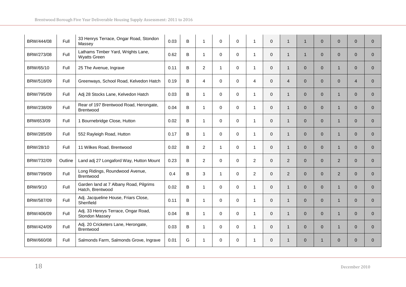| BRW/444/08 | Full    | 33 Henrys Terrace, Ongar Road, Stondon<br>Massey           | 0.03 | B | $\mathbf{1}$   | 0            | $\mathbf 0$ | $\mathbf{1}$   | $\Omega$     | $\mathbf{1}$   | $\mathbf 1$    | $\mathbf{0}$ | $\mathbf{0}$   | $\mathbf{0}$   | $\overline{0}$ |
|------------|---------|------------------------------------------------------------|------|---|----------------|--------------|-------------|----------------|--------------|----------------|----------------|--------------|----------------|----------------|----------------|
| BRW/273/08 | Full    | Lathams Timber Yard, Wrights Lane,<br><b>Wyatts Green</b>  | 0.62 | B | $\overline{1}$ | $\mathbf 0$  | $\mathbf 0$ | $\mathbf{1}$   | $\mathbf{0}$ | $\mathbf{1}$   | $\mathbf{1}$   | $\mathbf{0}$ | $\overline{0}$ | $\overline{0}$ | $\Omega$       |
| BRW/65/10  | Full    | 25 The Avenue, Ingrave                                     | 0.11 | B | 2              | 1            | $\mathbf 0$ | $\mathbf{1}$   | $\mathbf{0}$ | $\mathbf{1}$   | $\overline{0}$ | $\mathbf{0}$ | 1              | $\overline{0}$ | $\overline{0}$ |
| BRW/518/09 | Full    | Greenways, School Road, Kelvedon Hatch                     | 0.19 | B | $\overline{4}$ | 0            | $\Omega$    | $\overline{4}$ | $\Omega$     | $\overline{4}$ | $\Omega$       | $\mathbf{0}$ | $\Omega$       | $\overline{4}$ | $\Omega$       |
| BRW/795/09 | Full    | Adj 28 Stocks Lane, Kelvedon Hatch                         | 0.03 | B | $\overline{1}$ | $\Omega$     | $\Omega$    | $\mathbf{1}$   | $\Omega$     | $\mathbf{1}$   | $\Omega$       | $\Omega$     | $\mathbf{1}$   | $\Omega$       | $\Omega$       |
| BRW/238/09 | Full    | Rear of 197 Brentwood Road, Herongate,<br>Brentwood        | 0.04 | B | $\overline{1}$ | $\mathbf 0$  | $\mathbf 0$ | $\mathbf{1}$   | $\Omega$     | $\mathbf{1}$   | $\Omega$       | $\mathbf{0}$ | $\mathbf{1}$   | $\overline{0}$ | $\Omega$       |
| BRW653/09  | Full    | 1 Bournebridge Close, Hutton                               | 0.02 | B | $\mathbf{1}$   | 0            | $\Omega$    | $\mathbf{1}$   | $\Omega$     | $\mathbf{1}$   | $\Omega$       | $\mathbf{0}$ | $\mathbf{1}$   | $\overline{0}$ | $\Omega$       |
| BRW/285/09 | Full    | 552 Rayleigh Road, Hutton                                  | 0.17 | B | $\overline{1}$ | $\mathbf 0$  | $\Omega$    | $\mathbf{1}$   | $\Omega$     | $\mathbf{1}$   | $\Omega$       | $\Omega$     | $\mathbf 1$    | $\Omega$       | $\Omega$       |
| BRW/28/10  | Full    | 11 Wilkes Road, Brentwood                                  | 0.02 | B | $\overline{2}$ | $\mathbf{1}$ | $\mathbf 0$ | $\mathbf{1}$   | $\mathbf{0}$ | $\mathbf{1}$   | $\Omega$       | $\mathbf{0}$ | $\mathbf{1}$   | $\overline{0}$ | $\overline{0}$ |
| BRW/732/09 | Outline | Land adj 27 Longaford Way, Hutton Mount                    | 0.23 | В | 2              | 0            | $\mathbf 0$ | $\overline{c}$ | $\mathbf{0}$ | $\overline{2}$ | $\overline{0}$ | $\mathbf{0}$ | $\overline{2}$ | $\overline{0}$ | $\overline{0}$ |
| BRW/799/09 | Full    | Long Ridings, Roundwood Avenue,<br><b>Brentwood</b>        | 0.4  | B | 3              | $\mathbf{1}$ | $\Omega$    | $\overline{2}$ | $\mathbf{0}$ | 2              | $\Omega$       | $\Omega$     | 2              | $\overline{0}$ | $\Omega$       |
| BRW/9/10   | Full    | Garden land at 7 Albany Road, Pilgrims<br>Hatch, Brentwood | 0.02 | B | $\mathbf 1$    | $\mathbf 0$  | $\Omega$    | $\mathbf{1}$   | $\Omega$     | $\mathbf{1}$   | $\Omega$       | $\Omega$     | $\mathbf{1}$   | $\Omega$       | $\Omega$       |
| BRW/587/09 | Full    | Adj. Jacqueline House, Friars Close,<br>Shenfield          | 0.11 | B | $\overline{1}$ | $\mathbf 0$  | $\Omega$    | $\mathbf{1}$   | $\Omega$     | $\mathbf{1}$   | $\Omega$       | $\Omega$     | 1              | $\Omega$       | $\Omega$       |
| BRW/406/09 | Full    | Adj. 33 Henrys Terrace, Ongar Road,<br>Stondon Massey      | 0.04 | B | $\overline{1}$ | $\Omega$     | $\Omega$    | $\mathbf{1}$   | $\Omega$     | $\mathbf{1}$   | $\Omega$       | $\Omega$     | $\mathbf{1}$   | $\Omega$       | $\Omega$       |
| BRW/424/09 | Full    | Adj. 20 Cricketers Lane, Herongate,<br>Brentwood           | 0.03 | B | $\overline{1}$ | $\mathbf 0$  | $\mathbf 0$ | $\mathbf{1}$   | $\mathbf{0}$ | $\mathbf{1}$   | $\overline{0}$ | $\mathbf{0}$ | $\mathbf{1}$   | $\overline{0}$ | $\Omega$       |
| BRW/660/08 | Full    | Salmonds Farm, Salmonds Grove, Ingrave                     | 0.01 | G | -1             | 0            | $\Omega$    | 1              | $\Omega$     | $\mathbf{1}$   | $\Omega$       | $\mathbf{1}$ | $\Omega$       | $\Omega$       | $\Omega$       |